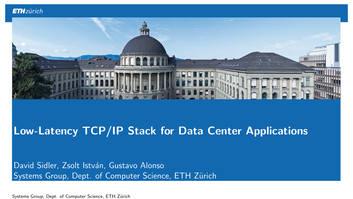

### Low-Latency TCP/IP Stack for Data Center Applications

David Sidler, Zsolt István, Gustavo Alonso Systems Group, Dept. of Computer Science, ETH Zürich

Systems Group, Dept. of Computer Science, ETH Zürich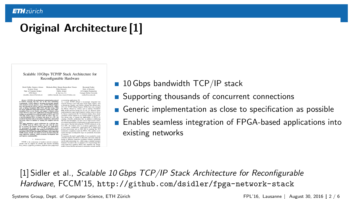# Original Architecture [1]

#### Scalable 10 Gbps TCP/IP Stack Architecture for Reconfigurable Hardware

| David Sidler, Gustavo Alceno      | Michaela Blott, Kimon KamacKees Vissers     | Raymond Carles         |
|-----------------------------------|---------------------------------------------|------------------------|
| System Group                      | Xilax Roquet                                | Dept. of Electrical    |
| Dept. of Computer Science         | Dublin, Indust                              | & Camputer Freeingerin |
| <b>STH Zirich</b>                 | & San Jose, CA                              | Campric Millon Univers |
| [davidler, alonsed-@inf.etha.ch.] | (rabbet, kinson), kees, vissen) @xilins.com | scarker@eco.com.edu    |

Alvance-TCP/IP is the proforminant communication protocol in modern networks but also one of the most demanding.<br>Consequently, TCPIP official is becoming increasingly popular with standard network interface each. TCPIP Official Engines have also emerged for FPGAs, and are being offered by vendors out as Intitus, Franchofer BHL PLDA and Dist Group, With the board confucility between this framework boarders than them. the torget application being high-frequency trading, these implications focus on low latincy and support a limited somine<br>countables focus on low history and support a limited somine<br>resulting can potentially be accelerate trains car potentially be accelerated mode as FPLA case TCP<br>with high scoles count is available inside the fabric. This way,<br>a network-stucked FPGA on ingress and spress to a CPU can a prevento considerar con la concernitura composición incontradad of many others in addition to running the complete network. stack.<br>This paper intendance a novel accidents<br>or for a DOSI paper inter TCDSP stack for FPS/As that can usele with the non-<br>ber of sensions and thereby addresses these new opplications, **Wack** 

co-moving applications (2) As a rest), TCPIP effood is increasingly integrated into As a resel. TCP/IP effored is necessaryly integrated into<br>announce analysis and Castro of the major syndical stable as<br>IFI (13), TCP/IP Officed Equivor (CEs) have also energed<br>TI (13), TCP/IP Officed Equivors (TCEs) have a HHL PLDA and Dini Group [4], [5], [6], [7]. However, they mm, runs and tom soop 141.151.192.173. movement more<br>importantism target high frequency trading which is driven constraint spoisn support as we coplain further in section II Our design aims to expan the applicability of PPGAs b creating a firstble architecture that in addition to delivering fail line rate throughput, can also scale to high session counts an essential prever iste to deployment in networked servers is the context. Become shipper that TCRID hotels and the box CPU, the solution sints to accelerate applications such as excrypton, comparaton, memcached [9] or higher-level protocol processing such as JMS [10] by pashing the TCP termination completely inside the PPGA. This enables accelention through reconfigurable logic for potentially thousands

We prototyped the design on a VC709 development board, Tre prototyped the design on a VC/VP development toned.<br>domandroling.computibility with relating rational infontractors.<br>coerning at full 14 Ghas throughput full-duplex while supporting 19,000 seators: Finally, the design has been described primarily using high-level synthesis, which servicents development time 1. INTRODUCTION

and improves maintainability.

TCP/IP is the conversions of modern network communiations with its support for reliable data transfer including flow control, congestion avoidance, duplicate data suppression

To maximize the stack's applicability, it was countied to creata flexible solution that allows to efficiently and easily adapt the design to different congestion avoidance schemes, potentially est of order processing, etc., while using a minimal resource footprint. To achieve this, we adopted a C++ based design flow using high-level synthesis (HLS) that simplifies the design makes it more fissible and easier to custo

 $\blacksquare$  10 Gbps bandwidth TCP/IP stack

- Supporting thousands of concurrent connections
- Generic implementation as close to specification as possible
- Enables seamless integration of FPGA-based applications into existing networks

[1] Sidler et al., Scalable 10 Gbps TCP/IP Stack Architecture for Reconfigurable Hardware, FCCM'15, <http://github.com/dsidler/fpga-network-stack>

Systems Group, Dept. of Computer Science, ETH Zürich Fernando FPL'16, Lausanne | August 30, 2016 | 2 / 6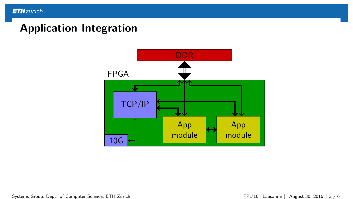### Application Integration

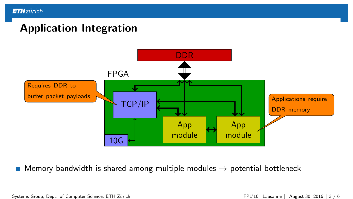# Application Integration



Memory bandwidth is shared among multiple modules  $\rightarrow$  potential bottleneck

Systems Group, Dept. of Computer Science, ETH Zürich FPL'16, Lausanne | August 30, 2016 | 3 / 6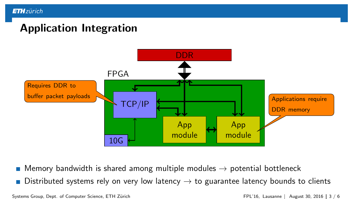# Application Integration



**Memory bandwidth is shared among multiple modules**  $\rightarrow$  **potential bottleneck** 

Distributed systems rely on very low latency  $\rightarrow$  to guarantee latency bounds to clients

Systems Group, Dept. of Computer Science, ETH Zürich FPL'16, Lausanne | August 30, 2016 | 3 / 6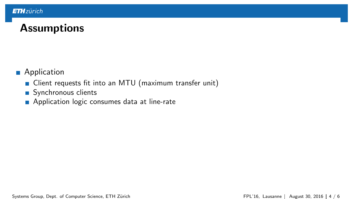# **Assumptions**

- **Application** 
	- Client requests fit into an MTU (maximum transfer unit)
	- Synchronous clients
	- **Application logic consumes data at line-rate**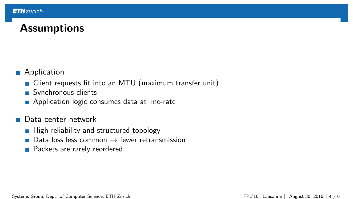# **Assumptions**

- **Application** 
	- Client requests fit into an MTU (maximum transfer unit)
	- Synchronous clients
	- **Application logic consumes data at line-rate**
- Data center network
	- $\blacksquare$  High reliability and structured topology
	- Data loss less common  $\rightarrow$  fewer retransmission  $\overline{\phantom{a}}$
	- **Packets are rarely reordered**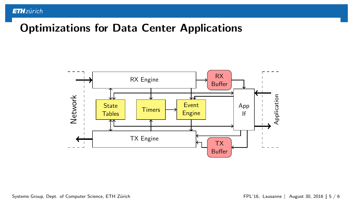### Optimizations for Data Center Applications

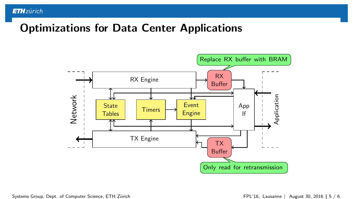# Optimizations for Data Center Applications



Systems Group, Dept. of Computer Science, ETH Zürich FPL'16, Lausanne | August 30, 2016 | 5 / 6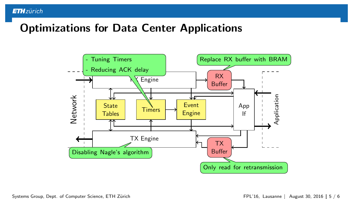## Optimizations for Data Center Applications

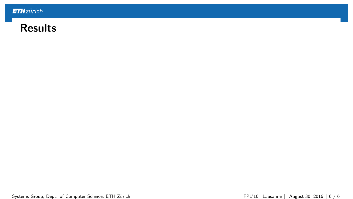

### Results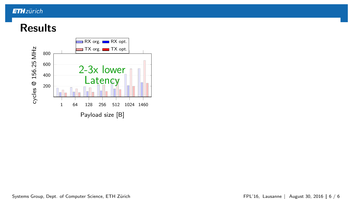# **Results**

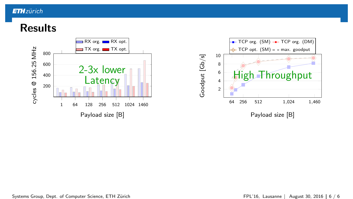# Results

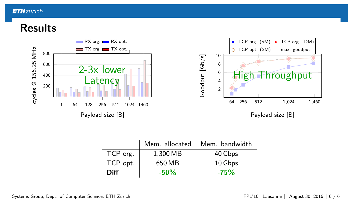# Results



|          | Mem. allocated | Mem. bandwidth |
|----------|----------------|----------------|
| TCP org. | 1,300 MB       | 40 Gbps        |
| TCP opt. | 650 MB         | 10 Gbps        |
| Diff     | $-50\%$        | $-75%$         |

Systems Group, Dept. of Computer Science, ETH Zürich FPL'16, Lausanne | August 30, 2016 | 6 / 6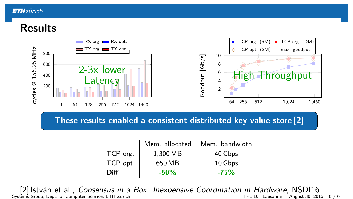# Results



These results en[abled a consistent distributed key-value store \[2\]](http://github.com/dsidler/fpga-network-stack)

|             | Mem. allocated | Mem. bandwidth |
|-------------|----------------|----------------|
| TCP org.    | 1.300 MB       | 40 Gbps        |
| TCP opt.    | 650 MB         | 10 Gbps        |
| <b>Diff</b> | $-50\%$        | $-75%$         |

[2] István et al., Consensus in a Box: Inexpensive Coordination in Hardware, NSDI16<br>In FPL'16, Lausanne | August 30, 2016 | 6 / 6 Systems Group, Dept. of Computer Science, ETH Zürich